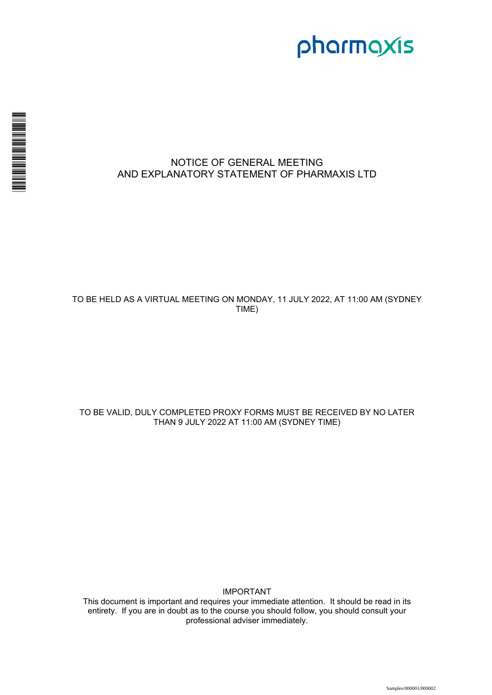

# NOTICE OF GENERAL MEETING AND EXPLANATORY STATEMENT OF PHARMAXIS LTD

# TO BE HELD AS A VIRTUAL MEETING ON MONDAY, 11 JULY 2022, AT 11:00 AM (SYDNEY TIME)

# TO BE VALID, DULY COMPLETED PROXY FORMS MUST BE RECEIVED BY NO LATER THAN 9 JULY 2022 AT 11:00 AM (SYDNEY TIME)

IMPORTANT

This document is important and requires your immediate attention. It should be read in its entirety. If you are in doubt as to the course you should follow, you should consult your professional adviser immediately.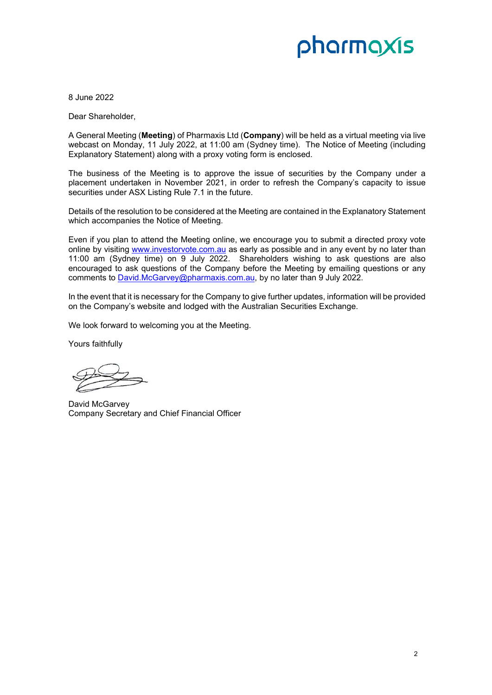# pharmaxis

8 June 2022

Dear Shareholder,

A General Meeting (**Meeting**) of Pharmaxis Ltd (**Company**) will be held as a virtual meeting via live webcast on Monday, 11 July 2022, at 11:00 am (Sydney time). The Notice of Meeting (including Explanatory Statement) along with a proxy voting form is enclosed.

The business of the Meeting is to approve the issue of securities by the Company under a placement undertaken in November 2021, in order to refresh the Company's capacity to issue securities under ASX Listing Rule 7.1 in the future.

Details of the resolution to be considered at the Meeting are contained in the Explanatory Statement which accompanies the Notice of Meeting.

Even if you plan to attend the Meeting online, we encourage you to submit a directed proxy vote online by visiting www.investorvote.com.au as early as possible and in any event by no later than 11:00 am (Sydney time) on 9 July 2022. Shareholders wishing to ask questions are also encouraged to ask questions of the Company before the Meeting by emailing questions or any comments to David.McGarvey@pharmaxis.com.au, by no later than 9 July 2022.

In the event that it is necessary for the Company to give further updates, information will be provided on the Company's website and lodged with the Australian Securities Exchange.

We look forward to welcoming you at the Meeting.

Yours faithfully

David McGarvey Company Secretary and Chief Financial Officer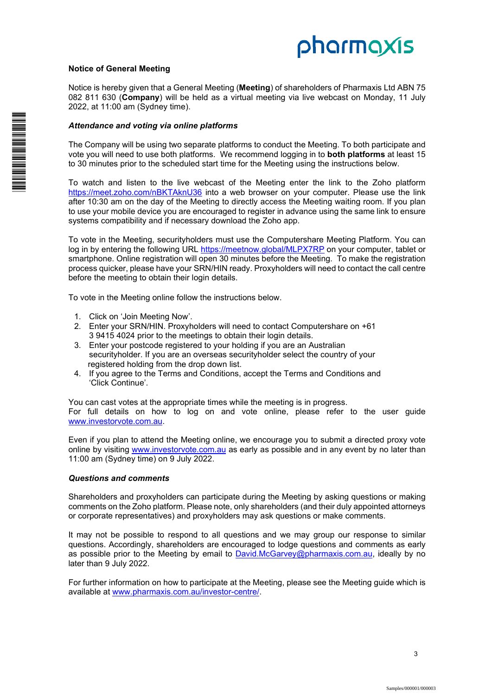# pharmaxis

# **Notice of General Meeting**

Notice is hereby given that a General Meeting (**Meeting**) of shareholders of Pharmaxis Ltd ABN 75 082 811 630 (**Company**) will be held as a virtual meeting via live webcast on Monday, 11 July 2022, at 11:00 am (Sydney time).

# *Attendance and voting via online platforms*

The Company will be using two separate platforms to conduct the Meeting. To both participate and vote you will need to use both platforms. We recommend logging in to **both platforms** at least 15 to 30 minutes prior to the scheduled start time for the Meeting using the instructions below.

To watch and listen to the live webcast of the Meeting enter the link to the Zoho platform https://meet.zoho.com/nBKTAknU36 into a web browser on your computer. Please use the link after 10:30 am on the day of the Meeting to directly access the Meeting waiting room. If you plan to use your mobile device you are encouraged to register in advance using the same link to ensure systems compatibility and if necessary download the Zoho app.

To vote in the Meeting, securityholders must use the Computershare Meeting Platform. You can log in by entering the following URL https://meetnow.global/MLPX7RP on your computer, tablet or smartphone. Online registration will open 30 minutes before the Meeting. To make the registration process quicker, please have your SRN/HIN ready. Proxyholders will need to contact the call centre before the meeting to obtain their login details.

To vote in the Meeting online follow the instructions below.

- 1. Click on 'Join Meeting Now'.
- 2. Enter your SRN/HIN. Proxyholders will need to contact Computershare on +61 3 9415 4024 prior to the meetings to obtain their login details.
- 3. Enter your postcode registered to your holding if you are an Australian securityholder. If you are an overseas securityholder select the country of your registered holding from the drop down list.
- 4. If you agree to the Terms and Conditions, accept the Terms and Conditions and 'Click Continue'.

You can cast votes at the appropriate times while the meeting is in progress.

For full details on how to log on and vote online, please refer to the user guide www.investorvote.com.au.

Even if you plan to attend the Meeting online, we encourage you to submit a directed proxy vote online by visiting www.investorvote.com.au as early as possible and in any event by no later than 11:00 am (Sydney time) on 9 July 2022.

# *Questions and comments*

Shareholders and proxyholders can participate during the Meeting by asking questions or making comments on the Zoho platform. Please note, only shareholders (and their duly appointed attorneys or corporate representatives) and proxyholders may ask questions or make comments.

It may not be possible to respond to all questions and we may group our response to similar questions. Accordingly, shareholders are encouraged to lodge questions and comments as early as possible prior to the Meeting by email to David.McGarvey@pharmaxis.com.au, ideally by no later than 9 July 2022.

For further information on how to participate at the Meeting, please see the Meeting guide which is available at www.pharmaxis.com.au/investor-centre/.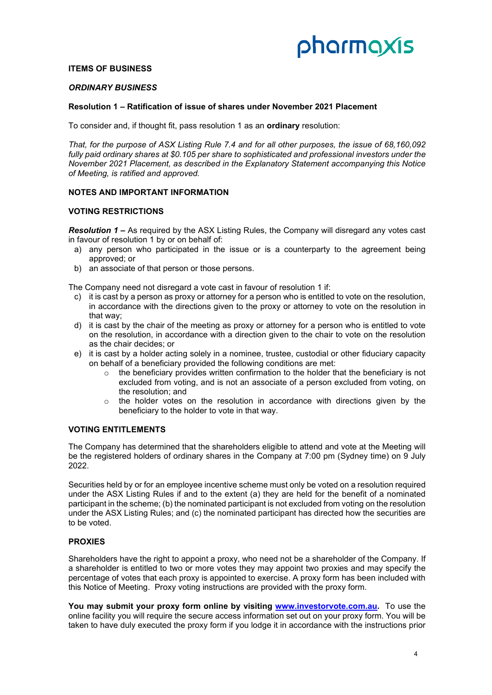# pharmaxis

# **ITEMS OF BUSINESS**

#### *ORDINARY BUSINESS*

#### **Resolution 1 – Ratification of issue of shares under November 2021 Placement**

To consider and, if thought fit, pass resolution 1 as an **ordinary** resolution:

*That, for the purpose of ASX Listing Rule 7.4 and for all other purposes, the issue of 68,160,092 fully paid ordinary shares at \$0.105 per share to sophisticated and professional investors under the November 2021 Placement, as described in the Explanatory Statement accompanying this Notice of Meeting, is ratified and approved.* 

#### **NOTES AND IMPORTANT INFORMATION**

#### **VOTING RESTRICTIONS**

*Resolution 1* **–** As required by the ASX Listing Rules, the Company will disregard any votes cast in favour of resolution 1 by or on behalf of:

- a) any person who participated in the issue or is a counterparty to the agreement being approved; or
- b) an associate of that person or those persons.

The Company need not disregard a vote cast in favour of resolution 1 if:

- c) it is cast by a person as proxy or attorney for a person who is entitled to vote on the resolution, in accordance with the directions given to the proxy or attorney to vote on the resolution in that way;
- d) it is cast by the chair of the meeting as proxy or attorney for a person who is entitled to vote on the resolution, in accordance with a direction given to the chair to vote on the resolution as the chair decides; or
- e) it is cast by a holder acting solely in a nominee, trustee, custodial or other fiduciary capacity on behalf of a beneficiary provided the following conditions are met:
	- $\circ$  the beneficiary provides written confirmation to the holder that the beneficiary is not excluded from voting, and is not an associate of a person excluded from voting, on the resolution; and
	- $\circ$  the holder votes on the resolution in accordance with directions given by the beneficiary to the holder to vote in that way.

# **VOTING ENTITLEMENTS**

The Company has determined that the shareholders eligible to attend and vote at the Meeting will be the registered holders of ordinary shares in the Company at 7:00 pm (Sydney time) on 9 July 2022.

Securities held by or for an employee incentive scheme must only be voted on a resolution required under the ASX Listing Rules if and to the extent (a) they are held for the benefit of a nominated participant in the scheme; (b) the nominated participant is not excluded from voting on the resolution under the ASX Listing Rules; and (c) the nominated participant has directed how the securities are to be voted.

# **PROXIES**

Shareholders have the right to appoint a proxy, who need not be a shareholder of the Company. If a shareholder is entitled to two or more votes they may appoint two proxies and may specify the percentage of votes that each proxy is appointed to exercise. A proxy form has been included with this Notice of Meeting. Proxy voting instructions are provided with the proxy form.

**You may submit your proxy form online by visiting www.investorvote.com.au.** To use the online facility you will require the secure access information set out on your proxy form. You will be taken to have duly executed the proxy form if you lodge it in accordance with the instructions prior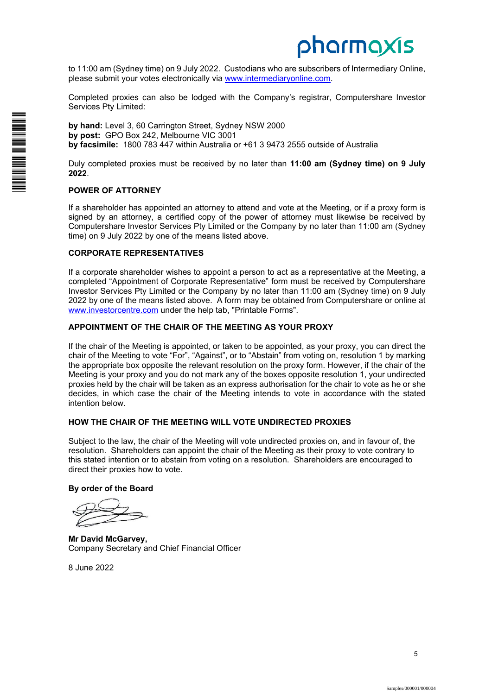

to 11:00 am (Sydney time) on 9 July 2022. Custodians who are subscribers of Intermediary Online, please submit your votes electronically via www.intermediaryonline.com.

Completed proxies can also be lodged with the Company's registrar, Computershare Investor Services Pty Limited:

**by hand:** Level 3, 60 Carrington Street, Sydney NSW 2000 **by post:** GPO Box 242, Melbourne VIC 3001 **by facsimile:** 1800 783 447 within Australia or +61 3 9473 2555 outside of Australia

Duly completed proxies must be received by no later than **11:00 am (Sydney time) on 9 July 2022**.

# **POWER OF ATTORNEY**

If a shareholder has appointed an attorney to attend and vote at the Meeting, or if a proxy form is signed by an attorney, a certified copy of the power of attorney must likewise be received by Computershare Investor Services Pty Limited or the Company by no later than 11:00 am (Sydney time) on 9 July 2022 by one of the means listed above.

# **CORPORATE REPRESENTATIVES**

If a corporate shareholder wishes to appoint a person to act as a representative at the Meeting, a completed "Appointment of Corporate Representative" form must be received by Computershare Investor Services Pty Limited or the Company by no later than 11:00 am (Sydney time) on 9 July 2022 by one of the means listed above. A form may be obtained from Computershare or online at www.investorcentre.com under the help tab, "Printable Forms".

# **APPOINTMENT OF THE CHAIR OF THE MEETING AS YOUR PROXY**

If the chair of the Meeting is appointed, or taken to be appointed, as your proxy, you can direct the chair of the Meeting to vote "For", "Against", or to "Abstain" from voting on, resolution 1 by marking the appropriate box opposite the relevant resolution on the proxy form. However, if the chair of the Meeting is your proxy and you do not mark any of the boxes opposite resolution 1, your undirected proxies held by the chair will be taken as an express authorisation for the chair to vote as he or she decides, in which case the chair of the Meeting intends to vote in accordance with the stated intention below.

# **HOW THE CHAIR OF THE MEETING WILL VOTE UNDIRECTED PROXIES**

Subject to the law, the chair of the Meeting will vote undirected proxies on, and in favour of, the resolution. Shareholders can appoint the chair of the Meeting as their proxy to vote contrary to this stated intention or to abstain from voting on a resolution. Shareholders are encouraged to direct their proxies how to vote.

# **By order of the Board**

**Mr David McGarvey,**  Company Secretary and Chief Financial Officer

8 June 2022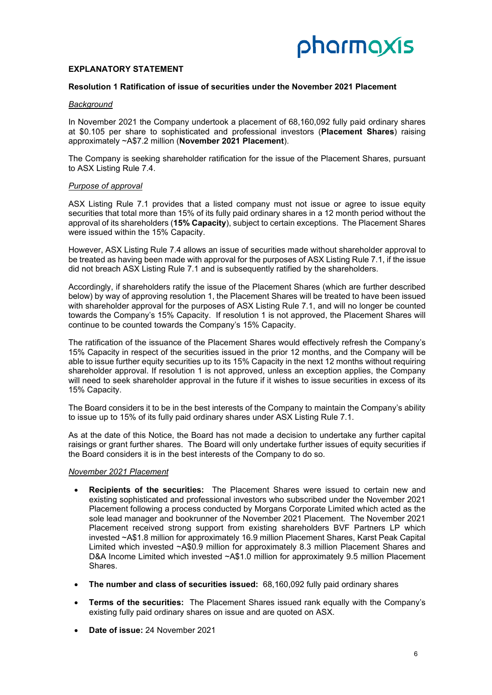# **EXPLANATORY STATEMENT**

# **Resolution 1 Ratification of issue of securities under the November 2021 Placement**

#### *Background*

In November 2021 the Company undertook a placement of 68,160,092 fully paid ordinary shares at \$0.105 per share to sophisticated and professional investors (**Placement Shares**) raising approximately ~A\$7.2 million (**November 2021 Placement**).

The Company is seeking shareholder ratification for the issue of the Placement Shares, pursuant to ASX Listing Rule 7.4.

# *Purpose of approval*

ASX Listing Rule 7.1 provides that a listed company must not issue or agree to issue equity securities that total more than 15% of its fully paid ordinary shares in a 12 month period without the approval of its shareholders (**15% Capacity**), subject to certain exceptions. The Placement Shares were issued within the 15% Capacity.

However, ASX Listing Rule 7.4 allows an issue of securities made without shareholder approval to be treated as having been made with approval for the purposes of ASX Listing Rule 7.1, if the issue did not breach ASX Listing Rule 7.1 and is subsequently ratified by the shareholders.

Accordingly, if shareholders ratify the issue of the Placement Shares (which are further described below) by way of approving resolution 1, the Placement Shares will be treated to have been issued with shareholder approval for the purposes of ASX Listing Rule 7.1, and will no longer be counted towards the Company's 15% Capacity. If resolution 1 is not approved, the Placement Shares will continue to be counted towards the Company's 15% Capacity.

The ratification of the issuance of the Placement Shares would effectively refresh the Company's 15% Capacity in respect of the securities issued in the prior 12 months, and the Company will be able to issue further equity securities up to its 15% Capacity in the next 12 months without requiring shareholder approval. If resolution 1 is not approved, unless an exception applies, the Company will need to seek shareholder approval in the future if it wishes to issue securities in excess of its 15% Capacity.

The Board considers it to be in the best interests of the Company to maintain the Company's ability to issue up to 15% of its fully paid ordinary shares under ASX Listing Rule 7.1.

As at the date of this Notice, the Board has not made a decision to undertake any further capital raisings or grant further shares. The Board will only undertake further issues of equity securities if the Board considers it is in the best interests of the Company to do so.

#### *November 2021 Placement*

- **Recipients of the securities:** The Placement Shares were issued to certain new and existing sophisticated and professional investors who subscribed under the November 2021 Placement following a process conducted by Morgans Corporate Limited which acted as the sole lead manager and bookrunner of the November 2021 Placement. The November 2021 Placement received strong support from existing shareholders BVF Partners LP which invested ~A\$1.8 million for approximately 16.9 million Placement Shares, Karst Peak Capital Limited which invested ~A\$0.9 million for approximately 8.3 million Placement Shares and D&A Income Limited which invested ~A\$1.0 million for approximately 9.5 million Placement Shares.
- **The number and class of securities issued:** 68,160,092 fully paid ordinary shares
- **Terms of the securities:** The Placement Shares issued rank equally with the Company's existing fully paid ordinary shares on issue and are quoted on ASX.
- **Date of issue:** 24 November 2021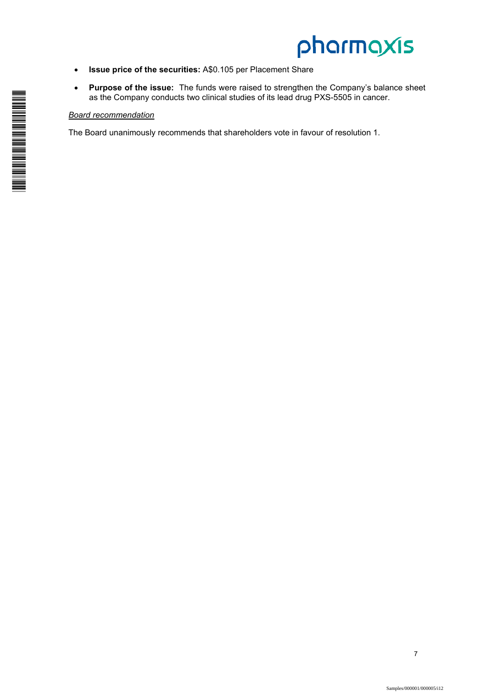

- **Issue price of the securities:** A\$0.105 per Placement Share
- **Purpose of the issue:** The funds were raised to strengthen the Company's balance sheet as the Company conducts two clinical studies of its lead drug PXS-5505 in cancer.

# *Board recommendation*

The Board unanimously recommends that shareholders vote in favour of resolution 1.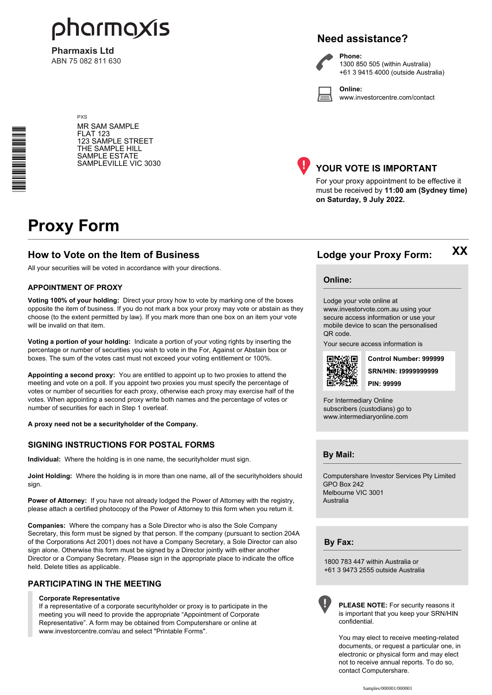

**Pharmaxis Ltd** ABN 75 082 811 630

# **Need assistance?**



**Phone:** 1300 850 505 (within Australia) +61 3 9415 4000 (outside Australia)

**Online:** www.investorcentre.com/contact

PXS MR SAM SAMPLE FLAT 123 123 SAMPLE STREET THE SAMPLE HILL SAMPLE ESTATE SAMPLEVILLE VIC 3030



# **YOUR VOTE IS IMPORTANT**

For your proxy appointment to be effective it must be received by **11:00 am (Sydney time) on Saturday, 9 July 2022.**

# **Proxy Form**

\*<br>\* London<br>Timografia

# **How to Vote on the Item of Business Lodge your Proxy Form:**

All your securities will be voted in accordance with your directions.

#### **APPOINTMENT OF PROXY**

**Voting 100% of your holding:** Direct your proxy how to vote by marking one of the boxes opposite the item of business. If you do not mark a box your proxy may vote or abstain as they choose (to the extent permitted by law). If you mark more than one box on an item your vote will be invalid on that item.

**Voting a portion of your holding:** Indicate a portion of your voting rights by inserting the percentage or number of securities you wish to vote in the For, Against or Abstain box or boxes. The sum of the votes cast must not exceed your voting entitlement or 100%.

**Appointing a second proxy:** You are entitled to appoint up to two proxies to attend the meeting and vote on a poll. If you appoint two proxies you must specify the percentage of votes or number of securities for each proxy, otherwise each proxy may exercise half of the votes. When appointing a second proxy write both names and the percentage of votes or number of securities for each in Step 1 overleaf.

**A proxy need not be a securityholder of the Company.**

# **SIGNING INSTRUCTIONS FOR POSTAL FORMS**

**Individual:** Where the holding is in one name, the securityholder must sign.

**Joint Holding:** Where the holding is in more than one name, all of the securityholders should sign.

Power of Attorney: If you have not already lodged the Power of Attorney with the registry, please attach a certified photocopy of the Power of Attorney to this form when you return it.

**Companies:** Where the company has a Sole Director who is also the Sole Company Secretary, this form must be signed by that person. If the company (pursuant to section 204A of the Corporations Act 2001) does not have a Company Secretary, a Sole Director can also sign alone. Otherwise this form must be signed by a Director jointly with either another Director or a Company Secretary. Please sign in the appropriate place to indicate the office held. Delete titles as applicable.

# **PARTICIPATING IN THE MEETING**

#### **Corporate Representative**

If a representative of a corporate securityholder or proxy is to participate in the meeting you will need to provide the appropriate "Appointment of Corporate Representative". A form may be obtained from Computershare or online at www.investorcentre.com/au and select "Printable Forms".

**Online:**

Lodge your vote online at

www.investorvote.com.au using your secure access information or use your mobile device to scan the personalised QR code.

Your secure access information is



**SRN/HIN: I9999999999 Control Number: 999999 PIN: 99999**

**XX**

For Intermediary Online subscribers (custodians) go to www.intermediaryonline.com

**By Mail:**

Computershare Investor Services Pty Limited GPO Box 242 Melbourne VIC 3001 Australia

**By Fax:**

1800 783 447 within Australia or +61 3 9473 2555 outside Australia



**PLEASE NOTE:** For security reasons it is important that you keep your SRN/HIN confidential.

You may elect to receive meeting-related documents, or request a particular one, in electronic or physical form and may elect not to receive annual reports. To do so, contact Computershare.